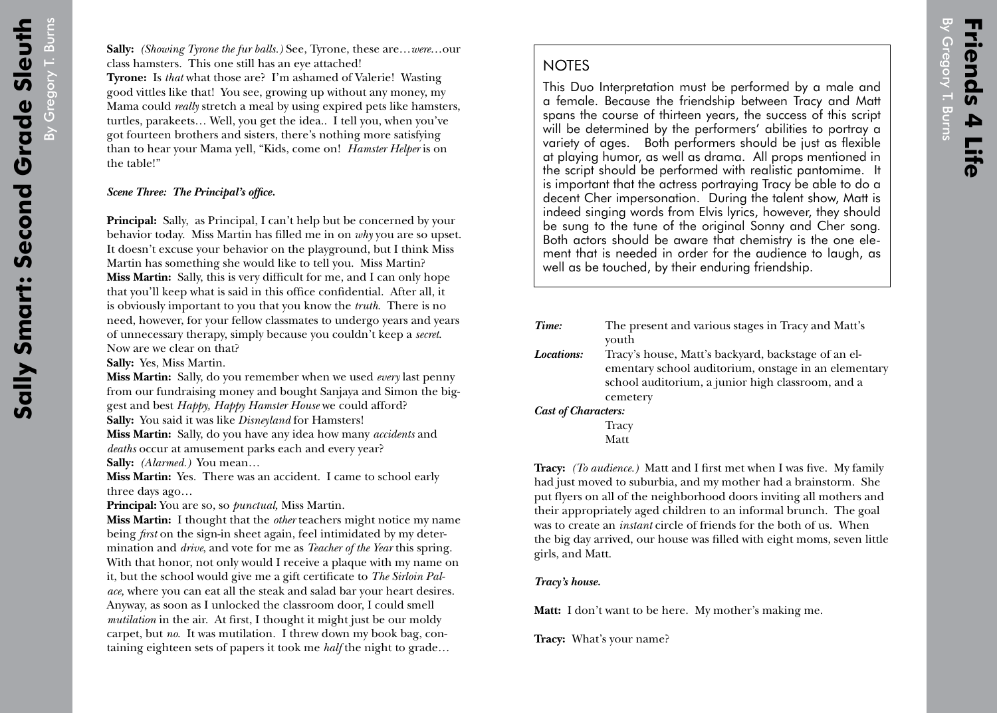## **NOTES**

This Duo Interpretation must be performed by a male and a female. Because the friendship between Tracy and Matt spans the course of thirteen years, the success of this script will be determined by the performers' abilities to portray a variety of ages. Both performers should be just as flexible at playing humor, as well as drama. All props mentioned in the script should be performed with realistic pantomime. It is important that the actress portraying Tracy be able to do a decent Cher impersonation. During the talent show, Matt is indeed singing words from Elvis lyrics, however, they should be sung to the tune of the original Sonny and Cher song. Both actors should be aware that chemistry is the one element that is needed in order for the audience to laugh, as well as be touched, by their enduring friendship.

| Time:                      | The present and various stages in Tracy and Matt's   |
|----------------------------|------------------------------------------------------|
|                            | youth                                                |
| Locations:                 | Tracy's house, Matt's backyard, backstage of an el-  |
|                            | ementary school auditorium, onstage in an elementary |
|                            | school auditorium, a junior high classroom, and a    |
|                            | cemetery                                             |
| <b>Cast of Characters:</b> |                                                      |
|                            | Tracy                                                |

Matt

**Tracy:** *(To audience.)* Matt and I first met when I was five. My family had just moved to suburbia, and my mother had a brainstorm. She put flyers on all of the neighborhood doors inviting all mothers and their appropriately aged children to an informal brunch. The goal was to create an *instant* circle of friends for the both of us. When the big day arrived, our house was filled with eight moms, seven little girls, and Matt.

*Tracy's house.*

**Matt:** I don't want to be here. My mother's making me.

**Tracy:** What's your name?